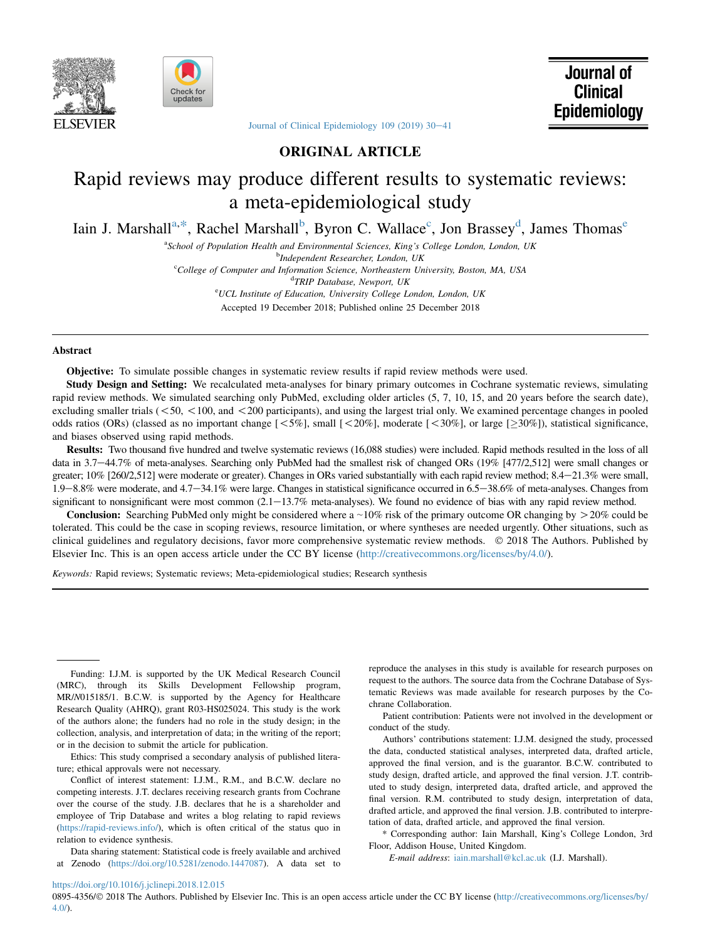



Journal of **Clinical** Epidemiology

[Journal of Clinical Epidemiology 109 \(2019\) 30](https://doi.org/10.1016/j.jclinepi.2018.12.015)-[41](https://doi.org/10.1016/j.jclinepi.2018.12.015)

ORIGINAL ARTICLE

# Rapid reviews may produce different results to systematic reviews: a meta-epidemiological study

Iain J. Marshall<sup>a,\*</sup>, Rachel Marshall<sup>b</sup>, Byron C. Wallace<sup>c</sup>, Jon Brassey<sup>d</sup>, James Thomas<sup>e</sup>

<sup>a</sup>School of Population Health and Environmental Sciences, King's College London, London, UK **b**Independent Researcher, London, UK <sup>c</sup>College of Computer and Information Science, Northeastern University, Boston, MA, USA <sup>d</sup>TRIP Database, Newport, UK eUCL Institute of Education, University College London, London, UK Accepted 19 December 2018; Published online 25 December 2018

# Abstract

Objective: To simulate possible changes in systematic review results if rapid review methods were used.

Study Design and Setting: We recalculated meta-analyses for binary primary outcomes in Cochrane systematic reviews, simulating rapid review methods. We simulated searching only PubMed, excluding older articles (5, 7, 10, 15, and 20 years before the search date), excluding smaller trials  $(< 50, < 100$ , and  $< 200$  participants), and using the largest trial only. We examined percentage changes in pooled odds ratios (ORs) (classed as no important change  $[< 5\%]$ , small  $[< 20\%]$ , moderate  $[< 30\%]$ , or large  $[< 30\%]$ ), statistical significance, and biases observed using rapid methods.

Results: Two thousand five hundred and twelve systematic reviews (16,088 studies) were included. Rapid methods resulted in the loss of all data in 3.7-44.7% of meta-analyses. Searching only PubMed had the smallest risk of changed ORs (19% [477/2,512] were small changes or greater; 10% [260/2,512] were moderate or greater). Changes in ORs varied substantially with each rapid review method; 8.4-21.3% were small, 1.9–8.8% were moderate, and 4.7–34.1% were large. Changes in statistical significance occurred in 6.5–38.6% of meta-analyses. Changes from significant to nonsignificant were most common  $(2.1-13.7\%$  meta-analyses). We found no evidence of bias with any rapid review method.

**Conclusion:** Searching PubMed only might be considered where a ~10% risk of the primary outcome OR changing by  $>20\%$  could be tolerated. This could be the case in scoping reviews, resource limitation, or where syntheses are needed urgently. Other situations, such as clinical guidelines and regulatory decisions, favor more comprehensive systematic review methods.  $\oslash$  2018 The Authors. Published by Elsevier Inc. This is an open access article under the CC BY license [\(http://creativecommons.org/licenses/by/4.0/\)](http://creativecommons.org/licenses/by/4.0/).

Keywords: Rapid reviews; Systematic reviews; Meta-epidemiological studies; Research synthesis

Funding: I.J.M. is supported by the UK Medical Research Council (MRC), through its Skills Development Fellowship program, MR/N015185/1. B.C.W. is supported by the Agency for Healthcare Research Quality (AHRQ), grant R03-HS025024. This study is the work of the authors alone; the funders had no role in the study design; in the collection, analysis, and interpretation of data; in the writing of the report; or in the decision to submit the article for publication.

Ethics: This study comprised a secondary analysis of published literature; ethical approvals were not necessary.

Conflict of interest statement: I.J.M., R.M., and B.C.W. declare no competing interests. J.T. declares receiving research grants from Cochrane over the course of the study. J.B. declares that he is a shareholder and employee of Trip Database and writes a blog relating to rapid reviews [\(https://rapid-reviews.info/](https://rapid-reviews.info/)), which is often critical of the status quo in relation to evidence synthesis.

Data sharing statement: Statistical code is freely available and archived at Zenodo ([https://doi.org/10.5281/zenodo.1447087\)](https://doi.org/10.5281/zenodo.1447087). A data set to

reproduce the analyses in this study is available for research purposes on request to the authors. The source data from the Cochrane Database of Systematic Reviews was made available for research purposes by the Cochrane Collaboration.

Patient contribution: Patients were not involved in the development or conduct of the study.

Authors' contributions statement: I.J.M. designed the study, processed the data, conducted statistical analyses, interpreted data, drafted article, approved the final version, and is the guarantor. B.C.W. contributed to study design, drafted article, and approved the final version. J.T. contributed to study design, interpreted data, drafted article, and approved the final version. R.M. contributed to study design, interpretation of data, drafted article, and approved the final version. J.B. contributed to interpretation of data, drafted article, and approved the final version.

\* Corresponding author: Iain Marshall, King's College London, 3rd Floor, Addison House, United Kingdom.

E-mail address: iain.marshall@kcl.ac.uk (I.J. Marshall).

## <https://doi.org/10.1016/j.jclinepi.2018.12.015>

<sup>0895-4356/© 2018</sup> The Authors. Published by Elsevier Inc. This is an open access article under the CC BY license ([http://creativecommons.org/licenses/by/](http://creativecommons.org/licenses/by/4.0/) [4.0/](http://creativecommons.org/licenses/by/4.0/)).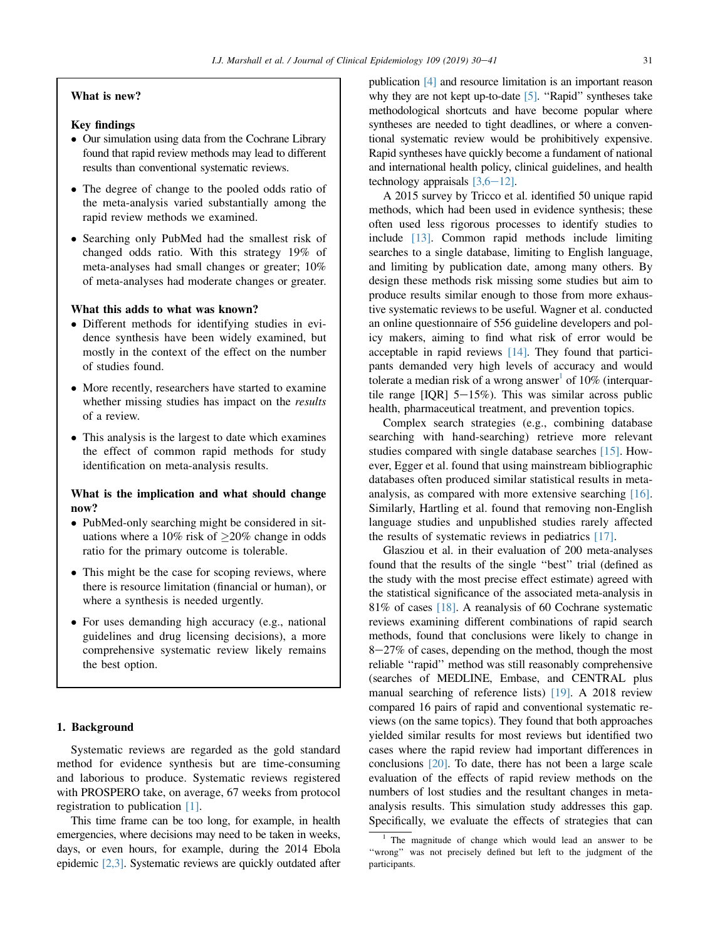## What is new?

## Key findings

- Our simulation using data from the Cochrane Library found that rapid review methods may lead to different results than conventional systematic reviews.
- The degree of change to the pooled odds ratio of the meta-analysis varied substantially among the rapid review methods we examined.
- Searching only PubMed had the smallest risk of changed odds ratio. With this strategy 19% of meta-analyses had small changes or greater; 10% of meta-analyses had moderate changes or greater.

## What this adds to what was known?

- Different methods for identifying studies in evidence synthesis have been widely examined, but mostly in the context of the effect on the number of studies found.
- More recently, researchers have started to examine whether missing studies has impact on the *results* of a review.
- This analysis is the largest to date which examines the effect of common rapid methods for study identification on meta-analysis results.

# What is the implication and what should change now?

- PubMed-only searching might be considered in situations where a 10% risk of  $\geq$ 20% change in odds ratio for the primary outcome is tolerable.
- This might be the case for scoping reviews, where there is resource limitation (financial or human), or where a synthesis is needed urgently.
- For uses demanding high accuracy (e.g., national guidelines and drug licensing decisions), a more comprehensive systematic review likely remains the best option.

# 1. Background

Systematic reviews are regarded as the gold standard method for evidence synthesis but are time-consuming and laborious to produce. Systematic reviews registered with PROSPERO take, on average, 67 weeks from protocol registration to publication [\[1\].](#page-10-0)

This time frame can be too long, for example, in health emergencies, where decisions may need to be taken in weeks, days, or even hours, for example, during the 2014 Ebola epidemic [\[2,3\]](#page-10-0). Systematic reviews are quickly outdated after publication [\[4\]](#page-10-0) and resource limitation is an important reason why they are not kept up-to-date [\[5\]](#page-10-0). "Rapid" syntheses take methodological shortcuts and have become popular where syntheses are needed to tight deadlines, or where a conventional systematic review would be prohibitively expensive. Rapid syntheses have quickly become a fundament of national and international health policy, clinical guidelines, and health technology appraisals  $[3,6-12]$  $[3,6-12]$  $[3,6-12]$ .

A 2015 survey by Tricco et al. identified 50 unique rapid methods, which had been used in evidence synthesis; these often used less rigorous processes to identify studies to include [\[13\].](#page-10-0) Common rapid methods include limiting searches to a single database, limiting to English language, and limiting by publication date, among many others. By design these methods risk missing some studies but aim to produce results similar enough to those from more exhaustive systematic reviews to be useful. Wagner et al. conducted an online questionnaire of 556 guideline developers and policy makers, aiming to find what risk of error would be acceptable in rapid reviews [\[14\].](#page-10-0) They found that participants demanded very high levels of accuracy and would tolerate a median risk of a wrong answer<sup>1</sup> of  $10\%$  (interquartile range  $[IQR]$  5-15%). This was similar across public health, pharmaceutical treatment, and prevention topics.

Complex search strategies (e.g., combining database searching with hand-searching) retrieve more relevant studies compared with single database searches [\[15\]](#page-10-0). However, Egger et al. found that using mainstream bibliographic databases often produced similar statistical results in metaanalysis, as compared with more extensive searching [\[16\]](#page-10-0). Similarly, Hartling et al. found that removing non-English language studies and unpublished studies rarely affected the results of systematic reviews in pediatrics [\[17\]](#page-10-0).

Glasziou et al. in their evaluation of 200 meta-analyses found that the results of the single ''best'' trial (defined as the study with the most precise effect estimate) agreed with the statistical significance of the associated meta-analysis in 81% of cases [\[18\]](#page-10-0). A reanalysis of 60 Cochrane systematic reviews examining different combinations of rapid search methods, found that conclusions were likely to change in  $8-27\%$  of cases, depending on the method, though the most reliable ''rapid'' method was still reasonably comprehensive (searches of MEDLINE, Embase, and CENTRAL plus manual searching of reference lists) [\[19\]](#page-10-0). A 2018 review compared 16 pairs of rapid and conventional systematic reviews (on the same topics). They found that both approaches yielded similar results for most reviews but identified two cases where the rapid review had important differences in conclusions [\[20\]](#page-10-0). To date, there has not been a large scale evaluation of the effects of rapid review methods on the numbers of lost studies and the resultant changes in metaanalysis results. This simulation study addresses this gap. Specifically, we evaluate the effects of strategies that can

The magnitude of change which would lead an answer to be ''wrong'' was not precisely defined but left to the judgment of the participants.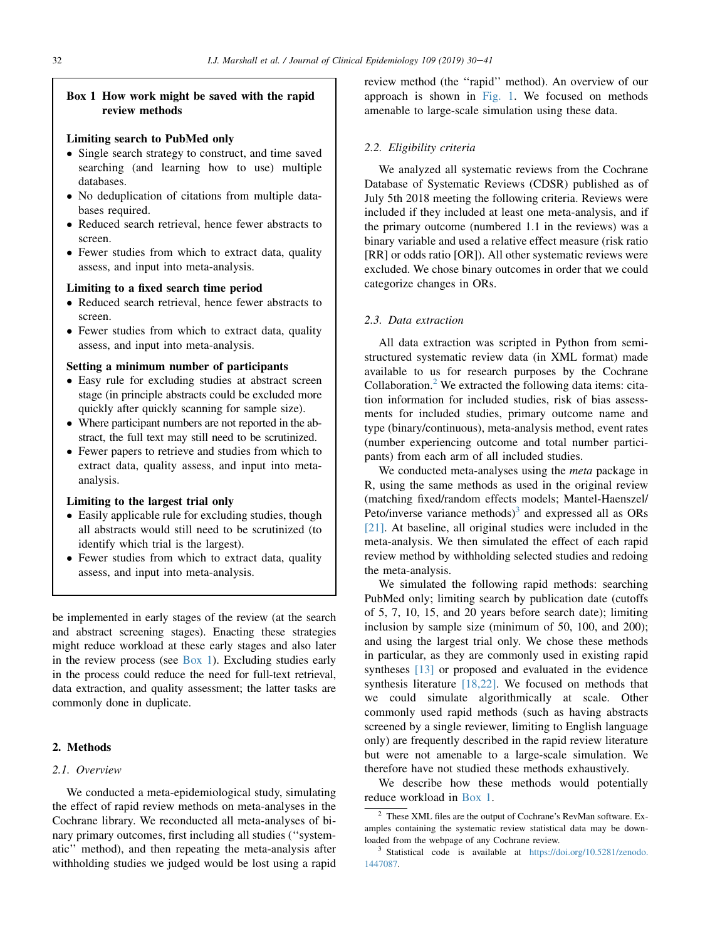# Box 1 How work might be saved with the rapid review methods

## Limiting search to PubMed only

- Single search strategy to construct, and time saved searching (and learning how to use) multiple databases.
- No deduplication of citations from multiple databases required.
- Reduced search retrieval, hence fewer abstracts to screen.
- Fewer studies from which to extract data, quality assess, and input into meta-analysis.

## Limiting to a fixed search time period

- Reduced search retrieval, hence fewer abstracts to screen.
- Fewer studies from which to extract data, quality assess, and input into meta-analysis.

## Setting a minimum number of participants

- Easy rule for excluding studies at abstract screen stage (in principle abstracts could be excluded more quickly after quickly scanning for sample size).
- Where participant numbers are not reported in the abstract, the full text may still need to be scrutinized.
- Fewer papers to retrieve and studies from which to extract data, quality assess, and input into metaanalysis.

# Limiting to the largest trial only

- Easily applicable rule for excluding studies, though all abstracts would still need to be scrutinized (to identify which trial is the largest).
- Fewer studies from which to extract data, quality assess, and input into meta-analysis.

be implemented in early stages of the review (at the search and abstract screening stages). Enacting these strategies might reduce workload at these early stages and also later in the review process (see Box 1). Excluding studies early in the process could reduce the need for full-text retrieval, data extraction, and quality assessment; the latter tasks are commonly done in duplicate.

# 2. Methods

## 2.1. Overview

We conducted a meta-epidemiological study, simulating the effect of rapid review methods on meta-analyses in the Cochrane library. We reconducted all meta-analyses of binary primary outcomes, first including all studies (''systematic'' method), and then repeating the meta-analysis after withholding studies we judged would be lost using a rapid review method (the ''rapid'' method). An overview of our approach is shown in [Fig. 1](#page-3-0). We focused on methods amenable to large-scale simulation using these data.

# 2.2. Eligibility criteria

We analyzed all systematic reviews from the Cochrane Database of Systematic Reviews (CDSR) published as of July 5th 2018 meeting the following criteria. Reviews were included if they included at least one meta-analysis, and if the primary outcome (numbered 1.1 in the reviews) was a binary variable and used a relative effect measure (risk ratio [RR] or odds ratio [OR]). All other systematic reviews were excluded. We chose binary outcomes in order that we could categorize changes in ORs.

# 2.3. Data extraction

All data extraction was scripted in Python from semistructured systematic review data (in XML format) made available to us for research purposes by the Cochrane Collaboration. $2$  We extracted the following data items: citation information for included studies, risk of bias assessments for included studies, primary outcome name and type (binary/continuous), meta-analysis method, event rates (number experiencing outcome and total number participants) from each arm of all included studies.

We conducted meta-analyses using the *meta* package in R, using the same methods as used in the original review (matching fixed/random effects models; Mantel-Haenszel/ Peto/inverse variance methods) $3$  and expressed all as ORs [\[21\].](#page-10-0) At baseline, all original studies were included in the meta-analysis. We then simulated the effect of each rapid review method by withholding selected studies and redoing the meta-analysis.

We simulated the following rapid methods: searching PubMed only; limiting search by publication date (cutoffs of 5, 7, 10, 15, and 20 years before search date); limiting inclusion by sample size (minimum of 50, 100, and 200); and using the largest trial only. We chose these methods in particular, as they are commonly used in existing rapid syntheses [\[13\]](#page-10-0) or proposed and evaluated in the evidence synthesis literature [\[18,22\]](#page-10-0). We focused on methods that we could simulate algorithmically at scale. Other commonly used rapid methods (such as having abstracts screened by a single reviewer, limiting to English language only) are frequently described in the rapid review literature but were not amenable to a large-scale simulation. We therefore have not studied these methods exhaustively.

We describe how these methods would potentially reduce workload in Box 1.

<sup>2</sup> These XML files are the output of Cochrane's RevMan software. Examples containing the systematic review statistical data may be downloaded from the webpage of any Cochrane review.<br><sup>3</sup> Statistical code is available at [https://doi.org/10.5281/zenodo.](https://doi.org/10.5281/zenodo.1447087)

[<sup>1447087.</sup>](https://doi.org/10.5281/zenodo.1447087)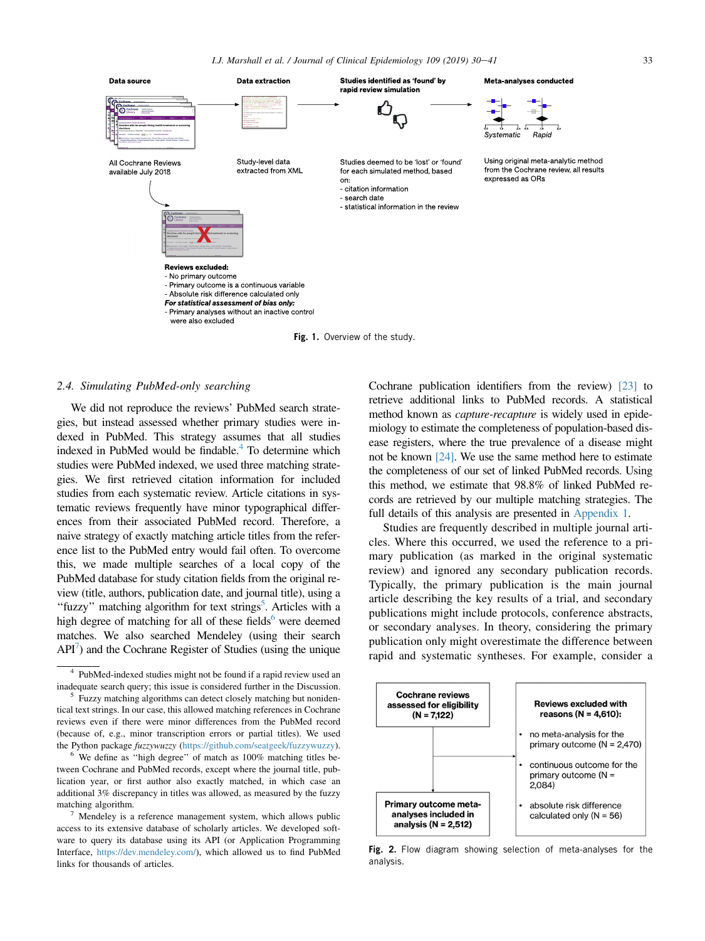<span id="page-3-0"></span>

## 2.4. Simulating PubMed-only searching

We did not reproduce the reviews' PubMed search strategies, but instead assessed whether primary studies were indexed in PubMed. This strategy assumes that all studies indexed in PubMed would be findable.<sup>4</sup> To determine which studies were PubMed indexed, we used three matching strategies. We first retrieved citation information for included studies from each systematic review. Article citations in systematic reviews frequently have minor typographical differences from their associated PubMed record. Therefore, a naive strategy of exactly matching article titles from the reference list to the PubMed entry would fail often. To overcome this, we made multiple searches of a local copy of the PubMed database for study citation fields from the original review (title, authors, publication date, and journal title), using a "fuzzy" matching algorithm for text strings<sup>5</sup>. Articles with a high degree of matching for all of these fields $<sup>6</sup>$  were deemed</sup> matches. We also searched Mendeley (using their search  $API^7$ ) and the Cochrane Register of Studies (using the unique

PubMed-indexed studies might not be found if a rapid review used an

<sup>6</sup> We define as ''high degree'' of match as 100% matching titles between Cochrane and PubMed records, except where the journal title, publication year, or first author also exactly matched, in which case an additional 3% discrepancy in titles was allowed, as measured by the fuzzy Cochrane publication identifiers from the review) [\[23\]](#page-11-0) to retrieve additional links to PubMed records. A statistical method known as *capture-recapture* is widely used in epidemiology to estimate the completeness of population-based disease registers, where the true prevalence of a disease might not be known [\[24\].](#page-11-0) We use the same method here to estimate the completeness of our set of linked PubMed records. Using this method, we estimate that 98.8% of linked PubMed records are retrieved by our multiple matching strategies. The full details of this analysis are presented in Appendix 1.

Studies are frequently described in multiple journal articles. Where this occurred, we used the reference to a primary publication (as marked in the original systematic review) and ignored any secondary publication records. Typically, the primary publication is the main journal article describing the key results of a trial, and secondary publications might include protocols, conference abstracts, or secondary analyses. In theory, considering the primary publication only might overestimate the difference between rapid and systematic syntheses. For example, consider a



**Fig. 2.** Flow diagram showing selection of meta-analyses for the analysis.

inadequate search query; this issue is considered further in the Discussion. <sup>5</sup> Fuzzy matching algorithms can detect closely matching but nonidentical text strings. In our case, this allowed matching references in Cochrane reviews even if there were minor differences from the PubMed record (because of, e.g., minor transcription errors or partial titles). We used the Python package fuzzywuzzy (<https://github.com/seatgeek/fuzzywuzzy>).

matching algorithm.<br><sup>7</sup> Mendeley is a reference management system, which allows public access to its extensive database of scholarly articles. We developed software to query its database using its API (or Application Programming Interface, <https://dev.mendeley.com/>), which allowed us to find PubMed links for thousands of articles.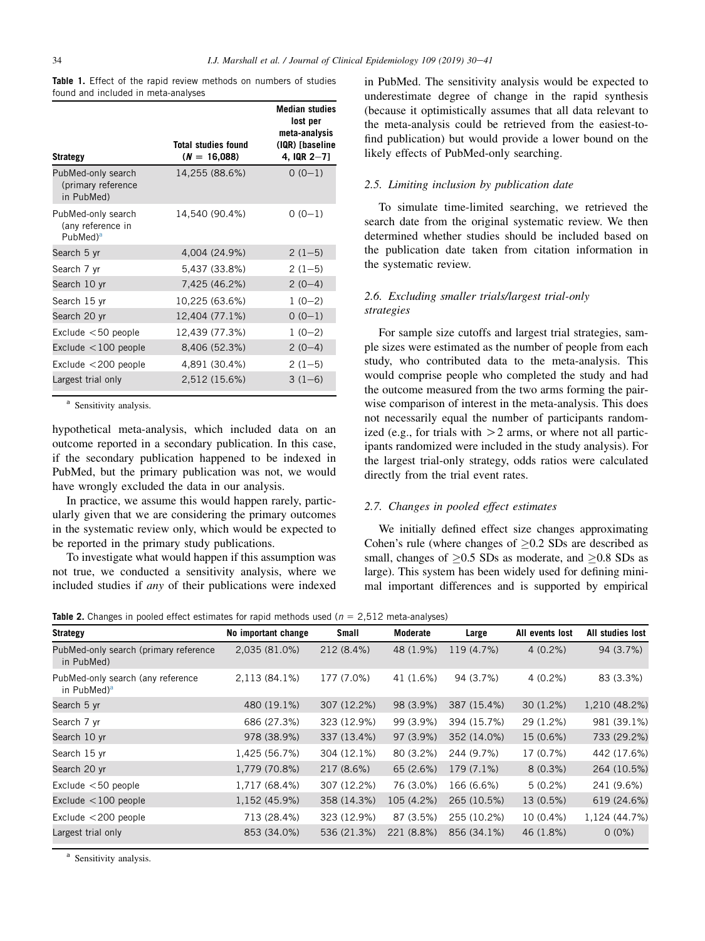<span id="page-4-0"></span>**Table 1.** Effect of the rapid review methods on numbers of studies found and included in meta-analyses

| <b>Total studies found</b><br>$(N = 16,088)$ | <b>Median studies</b><br>lost per<br>meta-analysis<br>(IQR) [baseline<br>4, IQR 2-7] |
|----------------------------------------------|--------------------------------------------------------------------------------------|
| 14,255 (88.6%)                               | $0(0-1)$                                                                             |
| 14,540 (90.4%)                               | $0(0-1)$                                                                             |
| 4,004 (24.9%)                                | $2(1-5)$                                                                             |
| 5,437 (33.8%)                                | $2(1-5)$                                                                             |
| 7,425 (46.2%)                                | $2(0-4)$                                                                             |
| 10,225 (63.6%)                               | $1(0-2)$                                                                             |
| 12,404 (77.1%)                               | $0(0-1)$                                                                             |
| 12,439 (77.3%)                               | $1(0-2)$                                                                             |
| 8,406 (52.3%)                                | $2(0-4)$                                                                             |
| 4,891 (30.4%)                                | $2(1-5)$                                                                             |
| 2,512 (15.6%)                                | $3(1-6)$                                                                             |
|                                              |                                                                                      |

<sup>a</sup> Sensitivity analysis.

hypothetical meta-analysis, which included data on an outcome reported in a secondary publication. In this case, if the secondary publication happened to be indexed in PubMed, but the primary publication was not, we would have wrongly excluded the data in our analysis.

In practice, we assume this would happen rarely, particularly given that we are considering the primary outcomes in the systematic review only, which would be expected to be reported in the primary study publications.

To investigate what would happen if this assumption was not true, we conducted a sensitivity analysis, where we included studies if any of their publications were indexed

in PubMed. The sensitivity analysis would be expected to underestimate degree of change in the rapid synthesis (because it optimistically assumes that all data relevant to the meta-analysis could be retrieved from the easiest-tofind publication) but would provide a lower bound on the likely effects of PubMed-only searching.

## 2.5. Limiting inclusion by publication date

To simulate time-limited searching, we retrieved the search date from the original systematic review. We then determined whether studies should be included based on the publication date taken from citation information in the systematic review.

# 2.6. Excluding smaller trials/largest trial-only strategies

For sample size cutoffs and largest trial strategies, sample sizes were estimated as the number of people from each study, who contributed data to the meta-analysis. This would comprise people who completed the study and had the outcome measured from the two arms forming the pairwise comparison of interest in the meta-analysis. This does not necessarily equal the number of participants randomized (e.g., for trials with  $>$  2 arms, or where not all participants randomized were included in the study analysis). For the largest trial-only strategy, odds ratios were calculated directly from the trial event rates.

## 2.7. Changes in pooled effect estimates

We initially defined effect size changes approximating Cohen's rule (where changes of  $\geq 0.2$  SDs are described as small, changes of  $>0.5$  SDs as moderate, and  $>0.8$  SDs as large). This system has been widely used for defining minimal important differences and is supported by empirical

**Table 2.** Changes in pooled effect estimates for rapid methods used ( $n = 2,512$  meta-analyses)

| <b>Strategy</b>                                             | No important change | Small       | <b>Moderate</b> | Large       | All events lost | All studies lost |
|-------------------------------------------------------------|---------------------|-------------|-----------------|-------------|-----------------|------------------|
| PubMed-only search (primary reference<br>in PubMed)         | 2,035 (81.0%)       | 212 (8.4%)  | 48 (1.9%)       | 119 (4.7%)  | $4(0.2\%)$      | 94 (3.7%)        |
| PubMed-only search (any reference<br>in PubMed <sup>a</sup> | 2,113 (84.1%)       | 177 (7.0%)  | 41 (1.6%)       | 94 (3.7%)   | $4(0.2\%)$      | 83 (3.3%)        |
| Search 5 yr                                                 | 480 (19.1%)         | 307 (12.2%) | 98 (3.9%)       | 387 (15.4%) | $30(1.2\%)$     | 1,210 (48.2%)    |
| Search 7 yr                                                 | 686 (27.3%)         | 323 (12.9%) | 99 (3.9%)       | 394 (15.7%) | 29 (1.2%)       | 981 (39.1%)      |
| Search 10 yr                                                | 978 (38.9%)         | 337 (13.4%) | 97 (3.9%)       | 352 (14.0%) | 15 (0.6%)       | 733 (29.2%)      |
| Search 15 yr                                                | 1,425 (56.7%)       | 304 (12.1%) | 80 (3.2%)       | 244 (9.7%)  | 17 (0.7%)       | 442 (17.6%)      |
| Search 20 yr                                                | 1,779 (70.8%)       | 217 (8.6%)  | 65 (2.6%)       | 179 (7.1%)  | $8(0.3\%)$      | 264 (10.5%)      |
| Exclude $< 50$ people                                       | 1,717 (68.4%)       | 307 (12.2%) | 76 (3.0%)       | 166 (6.6%)  | $5(0.2\%)$      | 241 (9.6%)       |
| Exclude < 100 people                                        | 1,152 (45.9%)       | 358 (14.3%) | 105 (4.2%)      | 265 (10.5%) | 13 (0.5%)       | 619 (24.6%)      |
| Exclude < 200 people                                        | 713 (28.4%)         | 323 (12.9%) | 87 (3.5%)       | 255 (10.2%) | $10(0.4\%)$     | 1.124 (44.7%)    |
| Largest trial only                                          | 853 (34.0%)         | 536 (21.3%) | 221 (8.8%)      | 856 (34.1%) | 46 (1.8%)       | $0(0\%)$         |

<sup>a</sup> Sensitivity analysis.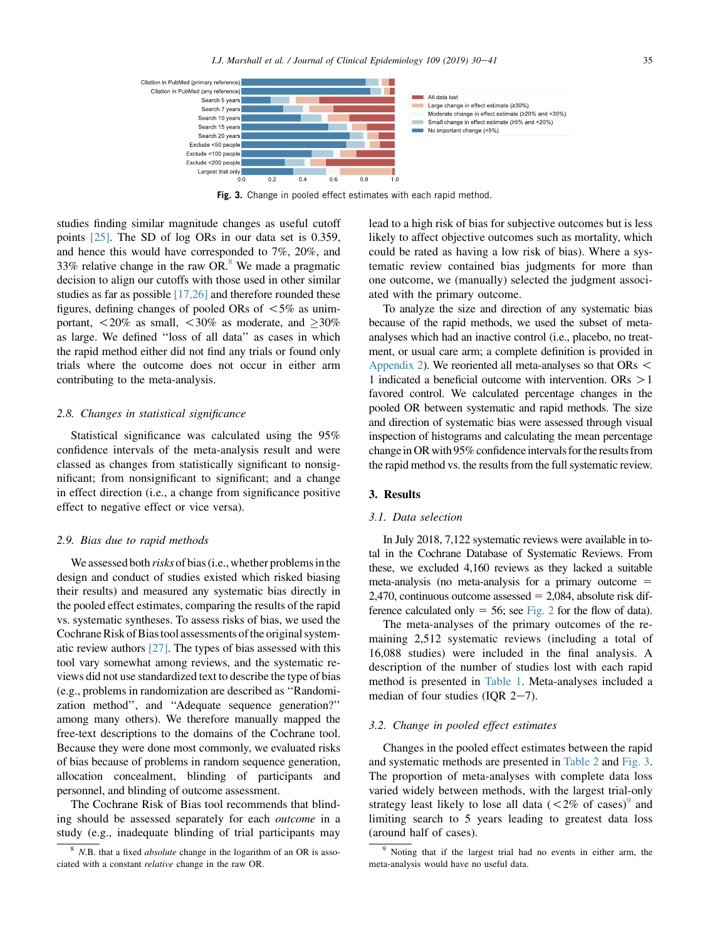

**Fig. 3.** Change in pooled effect estimates with each rapid method.

studies finding similar magnitude changes as useful cutoff points [\[25\]](#page-11-0). The SD of log ORs in our data set is 0.359, and hence this would have corresponded to 7%, 20%, and 33% relative change in the raw OR. $8$  We made a pragmatic decision to align our cutoffs with those used in other similar studies as far as possible [\[17,26\]](#page-10-0) and therefore rounded these figures, defining changes of pooled ORs of  $\langle 5\% \rangle$  as unimportant,  $\langle 20\%$  as small,  $\langle 30\%$  as moderate, and  $\langle 20\% \rangle$ as large. We defined ''loss of all data'' as cases in which the rapid method either did not find any trials or found only trials where the outcome does not occur in either arm contributing to the meta-analysis.

#### 2.8. Changes in statistical significance

Statistical significance was calculated using the 95% confidence intervals of the meta-analysis result and were classed as changes from statistically significant to nonsignificant; from nonsignificant to significant; and a change in effect direction (i.e., a change from significance positive effect to negative effect or vice versa).

## 2.9. Bias due to rapid methods

We assessed both *risks* of bias (i.e., whether problems in the design and conduct of studies existed which risked biasing their results) and measured any systematic bias directly in the pooled effect estimates, comparing the results of the rapid vs. systematic syntheses. To assess risks of bias, we used the Cochrane Risk of Bias tool assessments of the original systematic review authors  $[27]$ . The types of bias assessed with this tool vary somewhat among reviews, and the systematic reviews did not use standardized text to describe the type of bias (e.g., problems in randomization are described as ''Randomization method'', and ''Adequate sequence generation?'' among many others). We therefore manually mapped the free-text descriptions to the domains of the Cochrane tool. Because they were done most commonly, we evaluated risks of bias because of problems in random sequence generation, allocation concealment, blinding of participants and personnel, and blinding of outcome assessment.

The Cochrane Risk of Bias tool recommends that blinding should be assessed separately for each outcome in a study (e.g., inadequate blinding of trial participants may lead to a high risk of bias for subjective outcomes but is less likely to affect objective outcomes such as mortality, which could be rated as having a low risk of bias). Where a systematic review contained bias judgments for more than one outcome, we (manually) selected the judgment associated with the primary outcome.

To analyze the size and direction of any systematic bias because of the rapid methods, we used the subset of metaanalyses which had an inactive control (i.e., placebo, no treatment, or usual care arm; a complete definition is provided in [Appendix 2](#page-10-0)). We reoriented all meta-analyses so that ORs  $\lt$ 1 indicated a beneficial outcome with intervention. ORs  $>1$ favored control. We calculated percentage changes in the pooled OR between systematic and rapid methods. The size and direction of systematic bias were assessed through visual inspection of histograms and calculating the mean percentage change in OR with 95% confidence intervals for the results from the rapid method vs. the results from the full systematic review.

#### 3. Results

#### 3.1. Data selection

In July 2018, 7,122 systematic reviews were available in total in the Cochrane Database of Systematic Reviews. From these, we excluded 4,160 reviews as they lacked a suitable meta-analysis (no meta-analysis for a primary outcome  $=$ 2,470, continuous outcome assessed  $= 2,084$ , absolute risk dif-ference calculated only = 56; see [Fig. 2](#page-3-0) for the flow of data).

The meta-analyses of the primary outcomes of the remaining 2,512 systematic reviews (including a total of 16,088 studies) were included in the final analysis. A description of the number of studies lost with each rapid method is presented in [Table 1](#page-4-0). Meta-analyses included a median of four studies (IQR  $2-7$ ).

## 3.2. Change in pooled effect estimates

Changes in the pooled effect estimates between the rapid and systematic methods are presented in [Table 2](#page-4-0) and Fig. 3. The proportion of meta-analyses with complete data loss varied widely between methods, with the largest trial-only strategy least likely to lose all data  $(<2\%$  of cases)<sup>9</sup> and limiting search to 5 years leading to greatest data loss (around half of cases).

 $8$  N.B. that a fixed *absolute* change in the logarithm of an OR is associated with a constant relative change in the raw OR.

<sup>&</sup>lt;sup>9</sup> Noting that if the largest trial had no events in either arm, the meta-analysis would have no useful data.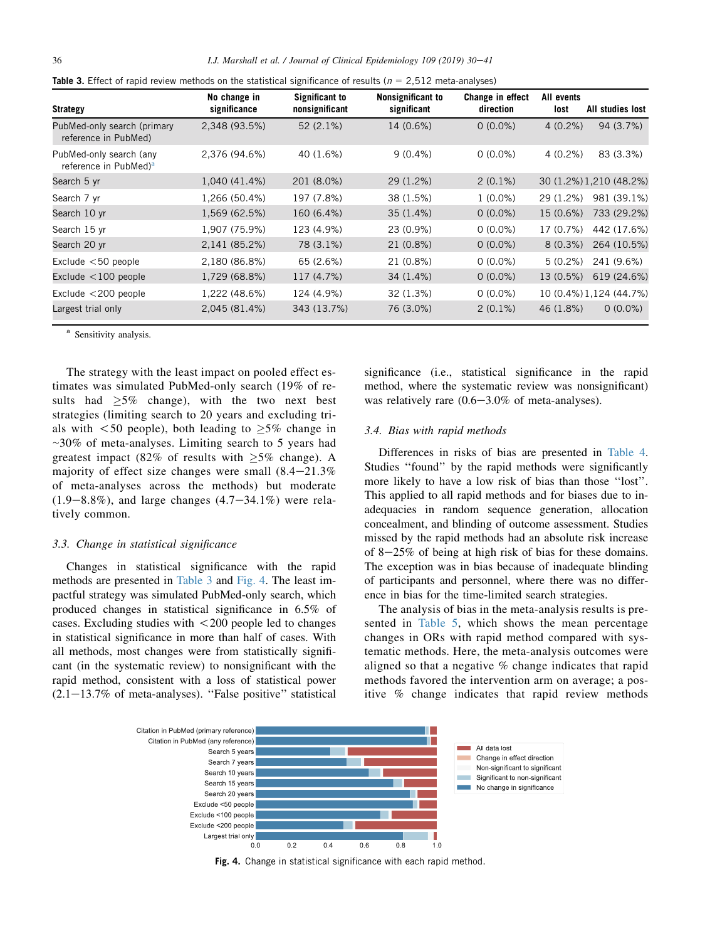|  |  |  |  |  | <b>Table 3.</b> Effect of rapid review methods on the statistical significance of results ( $n = 2,512$ meta-analyses) |
|--|--|--|--|--|------------------------------------------------------------------------------------------------------------------------|
|  |  |  |  |  |                                                                                                                        |

| <b>Strategy</b>                                              | No change in<br>significance | Significant to<br>nonsignificant | Nonsignificant to<br>significant | Change in effect<br>direction | All events<br>lost | All studies lost        |
|--------------------------------------------------------------|------------------------------|----------------------------------|----------------------------------|-------------------------------|--------------------|-------------------------|
| PubMed-only search (primary<br>reference in PubMed)          | 2,348 (93.5%)                | $52(2.1\%)$                      | 14 (0.6%)                        | $0(0.0\%)$                    | $4(0.2\%)$         | 94 (3.7%)               |
| PubMed-only search (any<br>reference in PubMed) <sup>a</sup> | 2,376 (94.6%)                | 40 (1.6%)                        | $9(0.4\%)$                       | $0(0.0\%)$                    | $4(0.2\%)$         | 83 (3.3%)               |
| Search 5 yr                                                  | 1,040 (41.4%)                | 201 (8.0%)                       | 29 (1.2%)                        | $2(0.1\%)$                    |                    | 30 (1.2%) 1,210 (48.2%) |
| Search 7 yr                                                  | 1,266 (50.4%)                | 197 (7.8%)                       | 38 (1.5%)                        | $1(0.0\%)$                    | 29 (1.2%)          | 981 (39.1%)             |
| Search 10 yr                                                 | 1,569 (62.5%)                | 160 (6.4%)                       | $35(1.4\%)$                      | $0(0.0\%)$                    | 15 (0.6%)          | 733 (29.2%)             |
| Search 15 yr                                                 | 1,907 (75.9%)                | 123 (4.9%)                       | 23 (0.9%)                        | $0(0.0\%)$                    | 17 (0.7%)          | 442 (17.6%)             |
| Search 20 yr                                                 | 2,141 (85.2%)                | 78 (3.1%)                        | 21 (0.8%)                        | $0(0.0\%)$                    | $8(0.3\%)$         | 264 (10.5%)             |
| Exclude $< 50$ people                                        | 2,180 (86.8%)                | 65 (2.6%)                        | 21 (0.8%)                        | $0(0.0\%)$                    | $5(0.2\%)$         | 241 (9.6%)              |
| Exclude $<$ 100 people                                       | 1,729 (68.8%)                | 117 (4.7%)                       | 34 (1.4%)                        | $0(0.0\%)$                    | 13 (0.5%)          | 619 (24.6%)             |
| Exclude $<$ 200 people                                       | 1,222 (48.6%)                | 124 (4.9%)                       | 32 (1.3%)                        | $0(0.0\%)$                    |                    | 10 (0.4%) 1,124 (44.7%) |
| Largest trial only                                           | 2,045 (81.4%)                | 343 (13.7%)                      | 76 (3.0%)                        | $2(0.1\%)$                    | 46 (1.8%)          | $0(0.0\%)$              |

<sup>a</sup> Sensitivity analysis.

The strategy with the least impact on pooled effect estimates was simulated PubMed-only search (19% of results had  $>5\%$  change), with the two next best strategies (limiting search to 20 years and excluding trials with  $\leq 50$  people), both leading to  $\geq 5\%$  change in  $\sim$ 30% of meta-analyses. Limiting search to 5 years had greatest impact (82% of results with  $\geq$ 5% change). A majority of effect size changes were small  $(8.4-21.3\%)$ of meta-analyses across the methods) but moderate  $(1.9-8.8\%)$ , and large changes  $(4.7-34.1\%)$  were relatively common.

## 3.3. Change in statistical significance

Changes in statistical significance with the rapid methods are presented in Table 3 and Fig. 4. The least impactful strategy was simulated PubMed-only search, which produced changes in statistical significance in 6.5% of cases. Excluding studies with  $\langle 200 \rangle$  people led to changes in statistical significance in more than half of cases. With all methods, most changes were from statistically significant (in the systematic review) to nonsignificant with the rapid method, consistent with a loss of statistical power  $(2.1-13.7\%$  of meta-analyses). "False positive" statistical

significance (i.e., statistical significance in the rapid method, where the systematic review was nonsignificant) was relatively rare  $(0.6-3.0\% \text{ of meta-analysis}).$ 

## 3.4. Bias with rapid methods

Differences in risks of bias are presented in [Table 4.](#page-8-0) Studies ''found'' by the rapid methods were significantly more likely to have a low risk of bias than those ''lost''. This applied to all rapid methods and for biases due to inadequacies in random sequence generation, allocation concealment, and blinding of outcome assessment. Studies missed by the rapid methods had an absolute risk increase of  $8-25\%$  of being at high risk of bias for these domains. The exception was in bias because of inadequate blinding of participants and personnel, where there was no difference in bias for the time-limited search strategies.

The analysis of bias in the meta-analysis results is presented in [Table 5,](#page-9-0) which shows the mean percentage changes in ORs with rapid method compared with systematic methods. Here, the meta-analysis outcomes were aligned so that a negative % change indicates that rapid methods favored the intervention arm on average; a positive % change indicates that rapid review methods



**Fig. 4.** Change in statistical significance with each rapid method.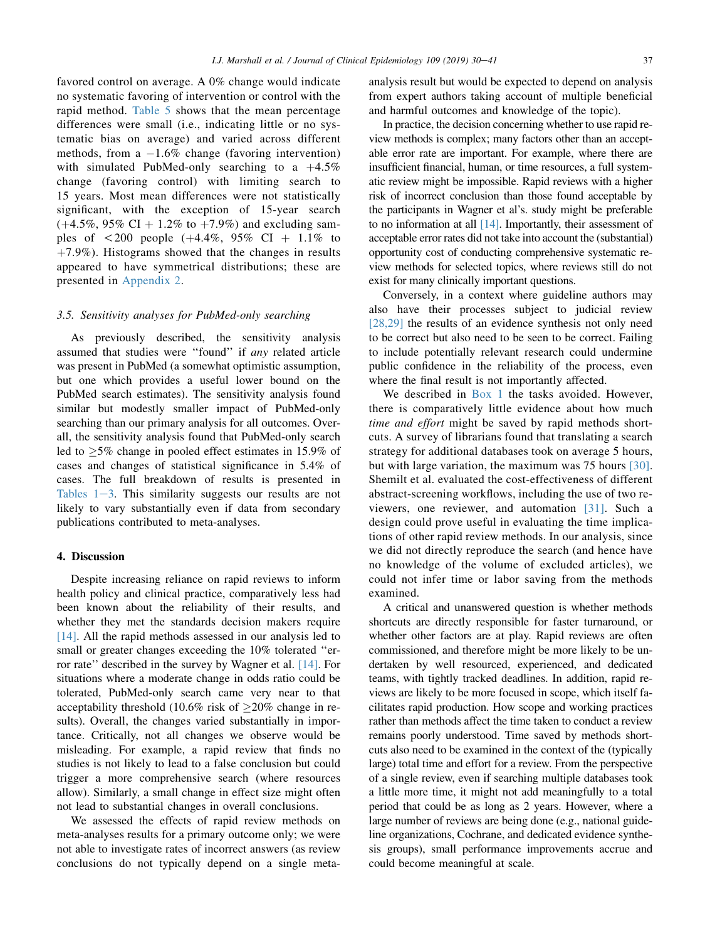favored control on average. A 0% change would indicate no systematic favoring of intervention or control with the rapid method. [Table 5](#page-9-0) shows that the mean percentage differences were small (i.e., indicating little or no systematic bias on average) and varied across different methods, from a  $-1.6\%$  change (favoring intervention) with simulated PubMed-only searching to a  $+4.5\%$ change (favoring control) with limiting search to 15 years. Most mean differences were not statistically significant, with the exception of 15-year search  $(+4.5\%, 95\% \text{ CI} + 1.2\% \text{ to } +7.9\%)$  and excluding samples of  $< 200$  people (+4.4%, 95% CI + 1.1% to  $+7.9\%$ ). Histograms showed that the changes in results appeared to have symmetrical distributions; these are presented in [Appendix 2](#page-10-0).

# 3.5. Sensitivity analyses for PubMed-only searching

As previously described, the sensitivity analysis assumed that studies were ''found'' if any related article was present in PubMed (a somewhat optimistic assumption, but one which provides a useful lower bound on the PubMed search estimates). The sensitivity analysis found similar but modestly smaller impact of PubMed-only searching than our primary analysis for all outcomes. Overall, the sensitivity analysis found that PubMed-only search led to  $\geq$ 5% change in pooled effect estimates in 15.9% of cases and changes of statistical significance in 5.4% of cases. The full breakdown of results is presented in Tables  $1-3$  $1-3$ . This similarity suggests our results are not likely to vary substantially even if data from secondary publications contributed to meta-analyses.

## 4. Discussion

Despite increasing reliance on rapid reviews to inform health policy and clinical practice, comparatively less had been known about the reliability of their results, and whether they met the standards decision makers require [\[14\]](#page-10-0). All the rapid methods assessed in our analysis led to small or greater changes exceeding the 10% tolerated ''error rate'' described in the survey by Wagner et al. [\[14\].](#page-10-0) For situations where a moderate change in odds ratio could be tolerated, PubMed-only search came very near to that acceptability threshold (10.6% risk of  $>20\%$  change in results). Overall, the changes varied substantially in importance. Critically, not all changes we observe would be misleading. For example, a rapid review that finds no studies is not likely to lead to a false conclusion but could trigger a more comprehensive search (where resources allow). Similarly, a small change in effect size might often not lead to substantial changes in overall conclusions.

We assessed the effects of rapid review methods on meta-analyses results for a primary outcome only; we were not able to investigate rates of incorrect answers (as review conclusions do not typically depend on a single metaanalysis result but would be expected to depend on analysis from expert authors taking account of multiple beneficial and harmful outcomes and knowledge of the topic).

In practice, the decision concerning whether to use rapid review methods is complex; many factors other than an acceptable error rate are important. For example, where there are insufficient financial, human, or time resources, a full systematic review might be impossible. Rapid reviews with a higher risk of incorrect conclusion than those found acceptable by the participants in Wagner et al's. study might be preferable to no information at all [\[14\]](#page-10-0). Importantly, their assessment of acceptable error rates did not take into account the (substantial) opportunity cost of conducting comprehensive systematic review methods for selected topics, where reviews still do not exist for many clinically important questions.

Conversely, in a context where guideline authors may also have their processes subject to judicial review [\[28,29\]](#page-11-0) the results of an evidence synthesis not only need to be correct but also need to be seen to be correct. Failing to include potentially relevant research could undermine public confidence in the reliability of the process, even where the final result is not importantly affected.

We described in Box 1 the tasks avoided. However, there is comparatively little evidence about how much time and effort might be saved by rapid methods shortcuts. A survey of librarians found that translating a search strategy for additional databases took on average 5 hours, but with large variation, the maximum was 75 hours [\[30\]](#page-11-0). Shemilt et al. evaluated the cost-effectiveness of different abstract-screening workflows, including the use of two reviewers, one reviewer, and automation [\[31\]](#page-11-0). Such a design could prove useful in evaluating the time implications of other rapid review methods. In our analysis, since we did not directly reproduce the search (and hence have no knowledge of the volume of excluded articles), we could not infer time or labor saving from the methods examined.

A critical and unanswered question is whether methods shortcuts are directly responsible for faster turnaround, or whether other factors are at play. Rapid reviews are often commissioned, and therefore might be more likely to be undertaken by well resourced, experienced, and dedicated teams, with tightly tracked deadlines. In addition, rapid reviews are likely to be more focused in scope, which itself facilitates rapid production. How scope and working practices rather than methods affect the time taken to conduct a review remains poorly understood. Time saved by methods shortcuts also need to be examined in the context of the (typically large) total time and effort for a review. From the perspective of a single review, even if searching multiple databases took a little more time, it might not add meaningfully to a total period that could be as long as 2 years. However, where a large number of reviews are being done (e.g., national guideline organizations, Cochrane, and dedicated evidence synthesis groups), small performance improvements accrue and could become meaningful at scale.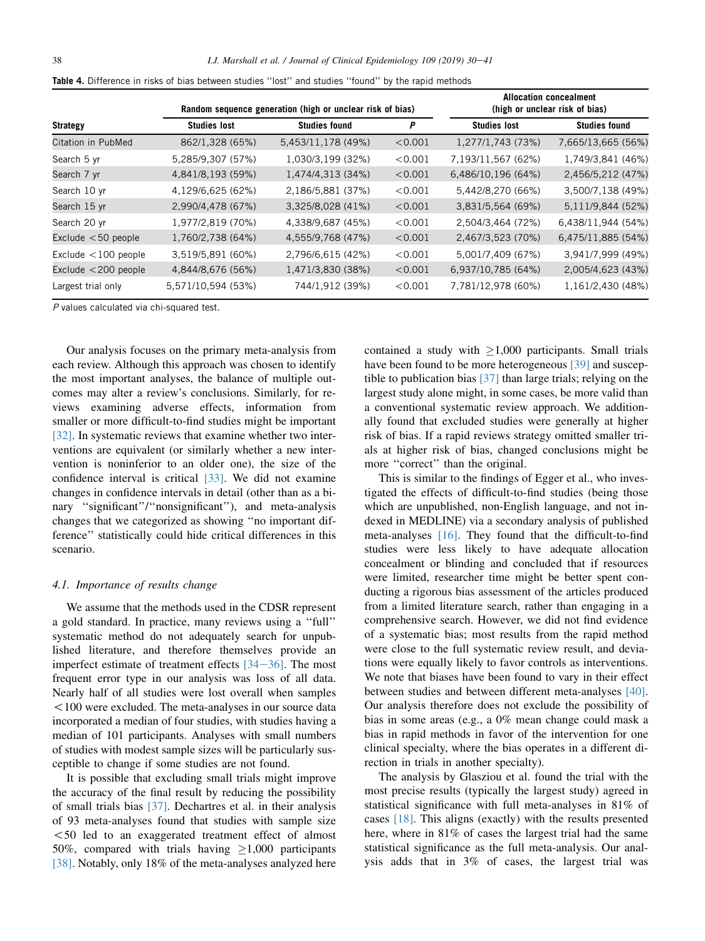|                        |                     | Random sequence generation (high or unclear risk of bias) |         | <b>Allocation concealment</b><br>(high or unclear risk of bias) |                      |
|------------------------|---------------------|-----------------------------------------------------------|---------|-----------------------------------------------------------------|----------------------|
| <b>Strategy</b>        | <b>Studies lost</b> | <b>Studies found</b>                                      | Ρ       | <b>Studies lost</b>                                             | <b>Studies found</b> |
| Citation in PubMed     | 862/1,328 (65%)     | 5,453/11,178 (49%)                                        | < 0.001 | 1,277/1,743 (73%)                                               | 7,665/13,665 (56%)   |
| Search 5 yr            | 5,285/9,307 (57%)   | 1,030/3,199 (32%)                                         | < 0.001 | 7,193/11,567 (62%)                                              | 1,749/3,841 (46%)    |
| Search 7 yr            | 4,841/8,193 (59%)   | 1,474/4,313 (34%)                                         | < 0.001 | 6,486/10,196 (64%)                                              | 2,456/5,212 (47%)    |
| Search 10 yr           | 4,129/6,625 (62%)   | 2,186/5,881 (37%)                                         | < 0.001 | 5,442/8,270 (66%)                                               | 3,500/7,138 (49%)    |
| Search 15 yr           | 2,990/4,478 (67%)   | 3,325/8,028 (41%)                                         | < 0.001 | 3,831/5,564 (69%)                                               | 5,111/9,844 (52%)    |
| Search 20 yr           | 1,977/2,819 (70%)   | 4,338/9,687 (45%)                                         | < 0.001 | 2,504/3,464 (72%)                                               | 6,438/11,944 (54%)   |
| Exclude $< 50$ people  | 1,760/2,738 (64%)   | 4,555/9,768 (47%)                                         | < 0.001 | 2,467/3,523 (70%)                                               | 6,475/11,885 (54%)   |
| Exclude $<$ 100 people | 3,519/5,891 (60%)   | 2,796/6,615 (42%)                                         | < 0.001 | 5,001/7,409 (67%)                                               | 3,941/7,999 (49%)    |
| Exclude $<$ 200 people | 4,844/8,676 (56%)   | 1,471/3,830 (38%)                                         | < 0.001 | 6,937/10,785 (64%)                                              | 2,005/4,623 (43%)    |
| Largest trial only     | 5,571/10,594 (53%)  | 744/1,912 (39%)                                           | < 0.001 | 7,781/12,978 (60%)                                              | 1,161/2,430 (48%)    |

<span id="page-8-0"></span>

|  |  |  |  | <b>Table 4.</b> Difference in risks of bias between studies "lost" and studies "found" by the rapid methods |  |  |  |  |  |  |
|--|--|--|--|-------------------------------------------------------------------------------------------------------------|--|--|--|--|--|--|
|--|--|--|--|-------------------------------------------------------------------------------------------------------------|--|--|--|--|--|--|

P values calculated via chi-squared test.

Our analysis focuses on the primary meta-analysis from each review. Although this approach was chosen to identify the most important analyses, the balance of multiple outcomes may alter a review's conclusions. Similarly, for reviews examining adverse effects, information from smaller or more difficult-to-find studies might be important [\[32\].](#page-11-0) In systematic reviews that examine whether two interventions are equivalent (or similarly whether a new intervention is noninferior to an older one), the size of the confidence interval is critical [\[33\].](#page-11-0) We did not examine changes in confidence intervals in detail (other than as a binary ''significant''/''nonsignificant''), and meta-analysis changes that we categorized as showing ''no important difference'' statistically could hide critical differences in this scenario.

### 4.1. Importance of results change

We assume that the methods used in the CDSR represent a gold standard. In practice, many reviews using a ''full'' systematic method do not adequately search for unpublished literature, and therefore themselves provide an imperfect estimate of treatment effects  $[34-36]$  $[34-36]$  $[34-36]$ . The most frequent error type in our analysis was loss of all data. Nearly half of all studies were lost overall when samples !100 were excluded. The meta-analyses in our source data incorporated a median of four studies, with studies having a median of 101 participants. Analyses with small numbers of studies with modest sample sizes will be particularly susceptible to change if some studies are not found.

It is possible that excluding small trials might improve the accuracy of the final result by reducing the possibility of small trials bias [\[37\].](#page-11-0) Dechartres et al. in their analysis of 93 meta-analyses found that studies with sample size !50 led to an exaggerated treatment effect of almost 50%, compared with trials having  $\geq 1,000$  participants [\[38\].](#page-11-0) Notably, only 18% of the meta-analyses analyzed here

contained a study with  $\geq 1,000$  participants. Small trials have been found to be more heterogeneous [\[39\]](#page-11-0) and susceptible to publication bias [\[37\]](#page-11-0) than large trials; relying on the largest study alone might, in some cases, be more valid than a conventional systematic review approach. We additionally found that excluded studies were generally at higher risk of bias. If a rapid reviews strategy omitted smaller trials at higher risk of bias, changed conclusions might be more "correct" than the original.

This is similar to the findings of Egger et al., who investigated the effects of difficult-to-find studies (being those which are unpublished, non-English language, and not indexed in MEDLINE) via a secondary analysis of published meta-analyses [\[16\].](#page-10-0) They found that the difficult-to-find studies were less likely to have adequate allocation concealment or blinding and concluded that if resources were limited, researcher time might be better spent conducting a rigorous bias assessment of the articles produced from a limited literature search, rather than engaging in a comprehensive search. However, we did not find evidence of a systematic bias; most results from the rapid method were close to the full systematic review result, and deviations were equally likely to favor controls as interventions. We note that biases have been found to vary in their effect between studies and between different meta-analyses [\[40\].](#page-11-0) Our analysis therefore does not exclude the possibility of bias in some areas (e.g., a 0% mean change could mask a bias in rapid methods in favor of the intervention for one clinical specialty, where the bias operates in a different direction in trials in another specialty).

The analysis by Glasziou et al. found the trial with the most precise results (typically the largest study) agreed in statistical significance with full meta-analyses in 81% of cases [\[18\]](#page-10-0). This aligns (exactly) with the results presented here, where in 81% of cases the largest trial had the same statistical significance as the full meta-analysis. Our analysis adds that in 3% of cases, the largest trial was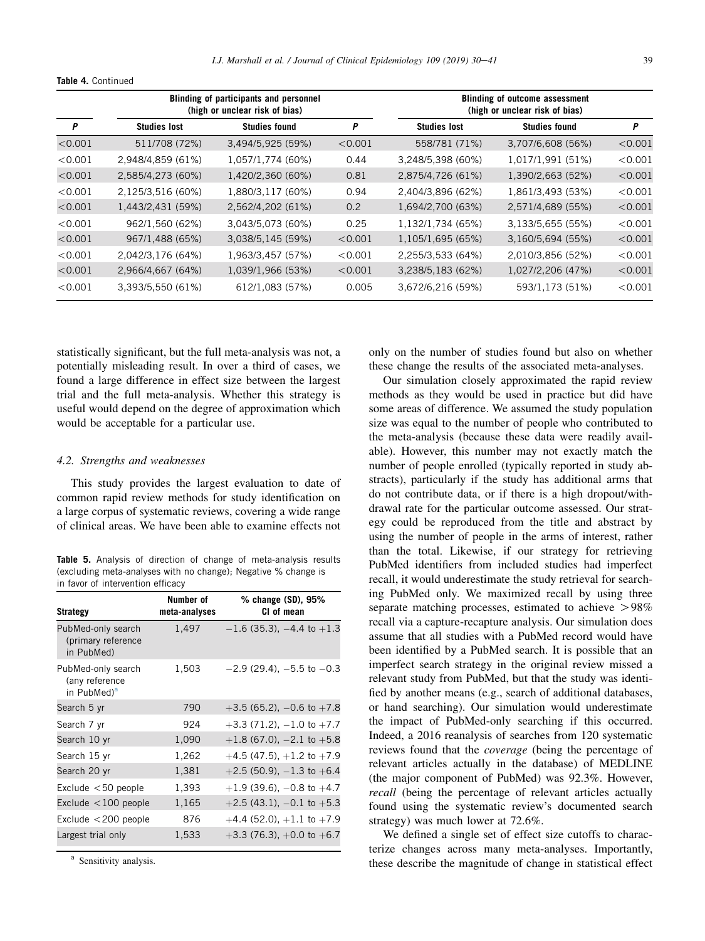<span id="page-9-0"></span>

|         |                     | Blinding of participants and personnel<br>(high or unclear risk of bias) |         | <b>Blinding of outcome assessment</b><br>(high or unclear risk of bias) |                      |         |
|---------|---------------------|--------------------------------------------------------------------------|---------|-------------------------------------------------------------------------|----------------------|---------|
| P       | <b>Studies lost</b> | <b>Studies found</b>                                                     | Ρ       | <b>Studies lost</b>                                                     | <b>Studies found</b> | P       |
| < 0.001 | 511/708 (72%)       | 3,494/5,925 (59%)                                                        | < 0.001 | 558/781 (71%)                                                           | 3,707/6,608 (56%)    | < 0.001 |
| < 0.001 | 2,948/4,859 (61%)   | 1,057/1,774 (60%)                                                        | 0.44    | 3,248/5,398 (60%)                                                       | 1,017/1,991 (51%)    | < 0.001 |
| < 0.001 | 2,585/4,273 (60%)   | 1,420/2,360 (60%)                                                        | 0.81    | 2,875/4,726 (61%)                                                       | 1,390/2,663 (52%)    | < 0.001 |
| < 0.001 | 2,125/3,516 (60%)   | 1,880/3,117 (60%)                                                        | 0.94    | 2,404/3,896 (62%)                                                       | 1,861/3,493 (53%)    | < 0.001 |
| < 0.001 | 1,443/2,431 (59%)   | 2,562/4,202 (61%)                                                        | 0.2     | 1,694/2,700 (63%)                                                       | 2,571/4,689 (55%)    | < 0.001 |
| < 0.001 | 962/1,560 (62%)     | 3,043/5,073 (60%)                                                        | 0.25    | 1,132/1,734 (65%)                                                       | 3,133/5,655 (55%)    | < 0.001 |
| < 0.001 | 967/1,488 (65%)     | 3,038/5,145 (59%)                                                        | < 0.001 | 1,105/1,695 (65%)                                                       | 3,160/5,694 (55%)    | < 0.001 |
| < 0.001 | 2,042/3,176 (64%)   | 1,963/3,457 (57%)                                                        | < 0.001 | 2,255/3,533 (64%)                                                       | 2,010/3,856 (52%)    | < 0.001 |
| < 0.001 | 2,966/4,667 (64%)   | 1,039/1,966 (53%)                                                        | < 0.001 | 3,238/5,183 (62%)                                                       | 1,027/2,206 (47%)    | < 0.001 |
| < 0.001 | 3,393/5,550 (61%)   | 612/1,083 (57%)                                                          | 0.005   | 3,672/6,216 (59%)                                                       | 593/1,173 (51%)      | < 0.001 |

statistically significant, but the full meta-analysis was not, a potentially misleading result. In over a third of cases, we found a large difference in effect size between the largest trial and the full meta-analysis. Whether this strategy is useful would depend on the degree of approximation which would be acceptable for a particular use.

#### 4.2. Strengths and weaknesses

This study provides the largest evaluation to date of common rapid review methods for study identification on a large corpus of systematic reviews, covering a wide range of clinical areas. We have been able to examine effects not

**Table 5.** Analysis of direction of change of meta-analysis results (excluding meta-analyses with no change); Negative % change is in favor of intervention efficacy

| <b>Strategy</b>                                                | Number of<br>meta-analyses | $%$ change $(SD)$ , 95%<br>CI of mean |
|----------------------------------------------------------------|----------------------------|---------------------------------------|
| PubMed-only search<br>(primary reference<br>in PubMed)         | 1,497                      | $-1.6$ (35.3), $-4.4$ to $+1.3$       |
| PubMed-only search<br>(any reference<br>in PubMed <sup>a</sup> | 1,503                      | $-2.9$ (29.4), $-5.5$ to $-0.3$       |
| Search 5 yr                                                    | 790                        | $+3.5$ (65.2), $-0.6$ to $+7.8$       |
| Search 7 yr                                                    | 924                        | $+3.3$ (71.2), $-1.0$ to $+7.7$       |
| Search 10 yr                                                   | 1,090                      | $+1.8$ (67.0), $-2.1$ to $+5.8$       |
| Search 15 yr                                                   | 1,262                      | $+4.5$ (47.5), $+1.2$ to $+7.9$       |
| Search 20 yr                                                   | 1,381                      | $+2.5$ (50.9), $-1.3$ to $+6.4$       |
| $Exclude < 50$ people                                          | 1,393                      | $+1.9$ (39.6), $-0.8$ to $+4.7$       |
| Exclude < 100 people                                           | 1,165                      | $+2.5$ (43.1), $-0.1$ to $+5.3$       |
| Exclude < 200 people                                           | 876                        | $+4.4$ (52.0), $+1.1$ to $+7.9$       |
| Largest trial only                                             | 1,533                      | $+3.3$ (76.3), $+0.0$ to $+6.7$       |

<sup>a</sup> Sensitivity analysis.

only on the number of studies found but also on whether these change the results of the associated meta-analyses.

Our simulation closely approximated the rapid review methods as they would be used in practice but did have some areas of difference. We assumed the study population size was equal to the number of people who contributed to the meta-analysis (because these data were readily available). However, this number may not exactly match the number of people enrolled (typically reported in study abstracts), particularly if the study has additional arms that do not contribute data, or if there is a high dropout/withdrawal rate for the particular outcome assessed. Our strategy could be reproduced from the title and abstract by using the number of people in the arms of interest, rather than the total. Likewise, if our strategy for retrieving PubMed identifiers from included studies had imperfect recall, it would underestimate the study retrieval for searching PubMed only. We maximized recall by using three separate matching processes, estimated to achieve  $>98\%$ recall via a capture-recapture analysis. Our simulation does assume that all studies with a PubMed record would have been identified by a PubMed search. It is possible that an imperfect search strategy in the original review missed a relevant study from PubMed, but that the study was identified by another means (e.g., search of additional databases, or hand searching). Our simulation would underestimate the impact of PubMed-only searching if this occurred. Indeed, a 2016 reanalysis of searches from 120 systematic reviews found that the coverage (being the percentage of relevant articles actually in the database) of MEDLINE (the major component of PubMed) was 92.3%. However, recall (being the percentage of relevant articles actually found using the systematic review's documented search strategy) was much lower at 72.6%.

We defined a single set of effect size cutoffs to characterize changes across many meta-analyses. Importantly, these describe the magnitude of change in statistical effect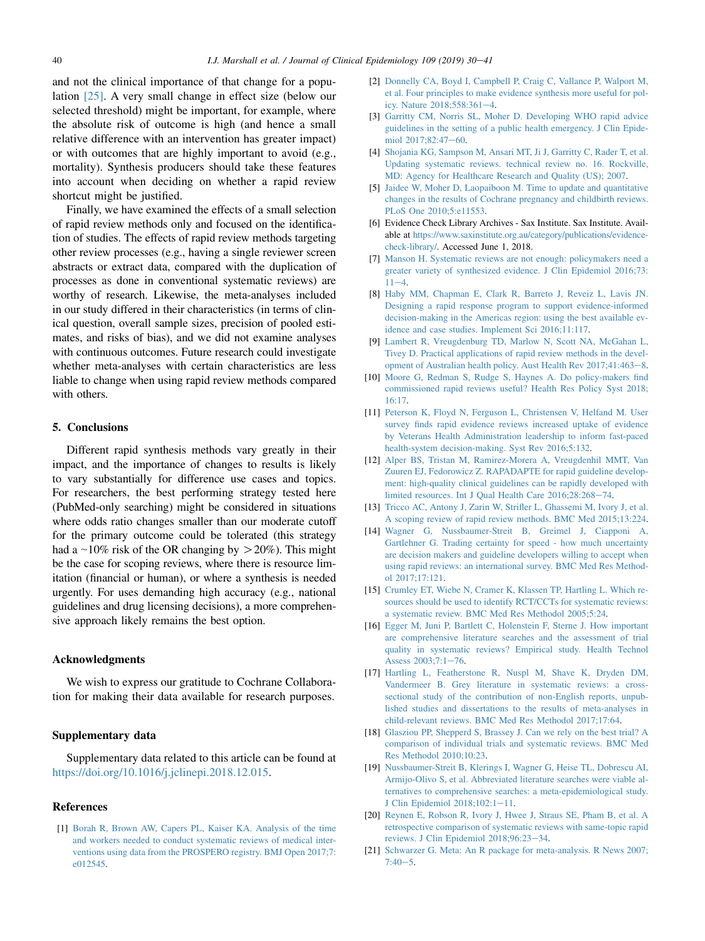<span id="page-10-0"></span>and not the clinical importance of that change for a population [\[25\]](#page-11-0). A very small change in effect size (below our selected threshold) might be important, for example, where the absolute risk of outcome is high (and hence a small relative difference with an intervention has greater impact) or with outcomes that are highly important to avoid (e.g., mortality). Synthesis producers should take these features into account when deciding on whether a rapid review shortcut might be justified.

Finally, we have examined the effects of a small selection of rapid review methods only and focused on the identification of studies. The effects of rapid review methods targeting other review processes (e.g., having a single reviewer screen abstracts or extract data, compared with the duplication of processes as done in conventional systematic reviews) are worthy of research. Likewise, the meta-analyses included in our study differed in their characteristics (in terms of clinical question, overall sample sizes, precision of pooled estimates, and risks of bias), and we did not examine analyses with continuous outcomes. Future research could investigate whether meta-analyses with certain characteristics are less liable to change when using rapid review methods compared with others.

## 5. Conclusions

Different rapid synthesis methods vary greatly in their impact, and the importance of changes to results is likely to vary substantially for difference use cases and topics. For researchers, the best performing strategy tested here (PubMed-only searching) might be considered in situations where odds ratio changes smaller than our moderate cutoff for the primary outcome could be tolerated (this strategy had a  $\sim$ 10% risk of the OR changing by  $>$  20%). This might be the case for scoping reviews, where there is resource limitation (financial or human), or where a synthesis is needed urgently. For uses demanding high accuracy (e.g., national guidelines and drug licensing decisions), a more comprehensive approach likely remains the best option.

## Acknowledgments

We wish to express our gratitude to Cochrane Collaboration for making their data available for research purposes.

## Supplementary data

Supplementary data related to this article can be found at <https://doi.org/10.1016/j.jclinepi.2018.12.015>.

## References

[1] [Borah R, Brown AW, Capers PL, Kaiser KA. Analysis of the time](http://refhub.elsevier.com/S0895-4356(18)30893-X/sref1) [and workers needed to conduct systematic reviews of medical inter](http://refhub.elsevier.com/S0895-4356(18)30893-X/sref1)[ventions using data from the PROSPERO registry. BMJ Open 2017;7:](http://refhub.elsevier.com/S0895-4356(18)30893-X/sref1) [e012545.](http://refhub.elsevier.com/S0895-4356(18)30893-X/sref1)

- [2] [Donnelly CA, Boyd I, Campbell P, Craig C, Vallance P, Walport M,](http://refhub.elsevier.com/S0895-4356(18)30893-X/sref2) [et al. Four principles to make evidence synthesis more useful for pol](http://refhub.elsevier.com/S0895-4356(18)30893-X/sref2)[icy. Nature 2018;558:361](http://refhub.elsevier.com/S0895-4356(18)30893-X/sref2)-[4.](http://refhub.elsevier.com/S0895-4356(18)30893-X/sref2)
- [3] [Garritty CM, Norris SL, Moher D. Developing WHO rapid advice](http://refhub.elsevier.com/S0895-4356(18)30893-X/sref3) [guidelines in the setting of a public health emergency. J Clin Epide](http://refhub.elsevier.com/S0895-4356(18)30893-X/sref3)[miol 2017;82:47](http://refhub.elsevier.com/S0895-4356(18)30893-X/sref3)-[60.](http://refhub.elsevier.com/S0895-4356(18)30893-X/sref3)
- [4] [Shojania KG, Sampson M, Ansari MT, Ji J, Garritty C, Rader T, et al.](http://refhub.elsevier.com/S0895-4356(18)30893-X/sref4) [Updating systematic reviews. technical review no. 16. Rockville,](http://refhub.elsevier.com/S0895-4356(18)30893-X/sref4) [MD: Agency for Healthcare Research and Quality \(US\); 2007](http://refhub.elsevier.com/S0895-4356(18)30893-X/sref4).
- [5] [Jaidee W, Moher D, Laopaiboon M. Time to update and quantitative](http://refhub.elsevier.com/S0895-4356(18)30893-X/sref5) [changes in the results of Cochrane pregnancy and childbirth reviews.](http://refhub.elsevier.com/S0895-4356(18)30893-X/sref5) [PLoS One 2010;5:e11553](http://refhub.elsevier.com/S0895-4356(18)30893-X/sref5).
- [6] Evidence Check Library Archives Sax Institute. Sax Institute. Available at [https://www.saxinstitute.org.au/category/publications/evidence](https://www.saxinstitute.org.au/category/publications/evidence-check-library/)[check-library/](https://www.saxinstitute.org.au/category/publications/evidence-check-library/). Accessed June 1, 2018.
- [7] [Manson H. Systematic reviews are not enough: policymakers need a](http://refhub.elsevier.com/S0895-4356(18)30893-X/sref7) [greater variety of synthesized evidence. J Clin Epidemiol 2016;73:](http://refhub.elsevier.com/S0895-4356(18)30893-X/sref7)  $11 - 4.$  $11 - 4.$  $11 - 4.$  $11 - 4.$
- [8] [Haby MM, Chapman E, Clark R, Barreto J, Reveiz L, Lavis JN.](http://refhub.elsevier.com/S0895-4356(18)30893-X/sref8) [Designing a rapid response program to support evidence-informed](http://refhub.elsevier.com/S0895-4356(18)30893-X/sref8) [decision-making in the Americas region: using the best available ev](http://refhub.elsevier.com/S0895-4356(18)30893-X/sref8)[idence and case studies. Implement Sci 2016;11:117](http://refhub.elsevier.com/S0895-4356(18)30893-X/sref8).
- [9] [Lambert R, Vreugdenburg TD, Marlow N, Scott NA, McGahan L,](http://refhub.elsevier.com/S0895-4356(18)30893-X/sref9) [Tivey D. Practical applications of rapid review methods in the devel](http://refhub.elsevier.com/S0895-4356(18)30893-X/sref9)[opment of Australian health policy. Aust Health Rev 2017;41:463](http://refhub.elsevier.com/S0895-4356(18)30893-X/sref9)-[8](http://refhub.elsevier.com/S0895-4356(18)30893-X/sref9).
- [10] [Moore G, Redman S, Rudge S, Haynes A. Do policy-makers find](http://refhub.elsevier.com/S0895-4356(18)30893-X/sref10) [commissioned rapid reviews useful? Health Res Policy Syst 2018;](http://refhub.elsevier.com/S0895-4356(18)30893-X/sref10) [16:17](http://refhub.elsevier.com/S0895-4356(18)30893-X/sref10).
- [11] [Peterson K, Floyd N, Ferguson L, Christensen V, Helfand M. User](http://refhub.elsevier.com/S0895-4356(18)30893-X/sref11) [survey finds rapid evidence reviews increased uptake of evidence](http://refhub.elsevier.com/S0895-4356(18)30893-X/sref11) [by Veterans Health Administration leadership to inform fast-paced](http://refhub.elsevier.com/S0895-4356(18)30893-X/sref11) [health-system decision-making. Syst Rev 2016;5:132.](http://refhub.elsevier.com/S0895-4356(18)30893-X/sref11)
- [12] [Alper BS, Tristan M, Ramirez-Morera A, Vreugdenhil MMT, Van](http://refhub.elsevier.com/S0895-4356(18)30893-X/sref12) [Zuuren EJ, Fedorowicz Z. RAPADAPTE for rapid guideline develop](http://refhub.elsevier.com/S0895-4356(18)30893-X/sref12)[ment: high-quality clinical guidelines can be rapidly developed with](http://refhub.elsevier.com/S0895-4356(18)30893-X/sref12) limited resources. Int J Qual Health Care  $2016;28:268-74$ .
- [13] [Tricco AC, Antony J, Zarin W, Strifler L, Ghassemi M, Ivory J, et al.](http://refhub.elsevier.com/S0895-4356(18)30893-X/sref13) [A scoping review of rapid review methods. BMC Med 2015;13:224](http://refhub.elsevier.com/S0895-4356(18)30893-X/sref13).
- [14] [Wagner G, Nussbaumer-Streit B, Greimel J, Ciapponi A,](http://refhub.elsevier.com/S0895-4356(18)30893-X/sref14) [Gartlehner G. Trading certainty for speed - how much uncertainty](http://refhub.elsevier.com/S0895-4356(18)30893-X/sref14) [are decision makers and guideline developers willing to accept when](http://refhub.elsevier.com/S0895-4356(18)30893-X/sref14) [using rapid reviews: an international survey. BMC Med Res Method](http://refhub.elsevier.com/S0895-4356(18)30893-X/sref14)[ol 2017;17:121](http://refhub.elsevier.com/S0895-4356(18)30893-X/sref14).
- [15] [Crumley ET, Wiebe N, Cramer K, Klassen TP, Hartling L. Which re](http://refhub.elsevier.com/S0895-4356(18)30893-X/sref15)[sources should be used to identify RCT/CCTs for systematic reviews:](http://refhub.elsevier.com/S0895-4356(18)30893-X/sref15) [a systematic review. BMC Med Res Methodol 2005;5:24](http://refhub.elsevier.com/S0895-4356(18)30893-X/sref15).
- [16] [Egger M, Juni P, Bartlett C, Holenstein F, Sterne J. How important](http://refhub.elsevier.com/S0895-4356(18)30893-X/sref16) [are comprehensive literature searches and the assessment of trial](http://refhub.elsevier.com/S0895-4356(18)30893-X/sref16) [quality in systematic reviews? Empirical study. Health Technol](http://refhub.elsevier.com/S0895-4356(18)30893-X/sref16) [Assess 2003;7:1](http://refhub.elsevier.com/S0895-4356(18)30893-X/sref16)-[76.](http://refhub.elsevier.com/S0895-4356(18)30893-X/sref16)
- [17] [Hartling L, Featherstone R, Nuspl M, Shave K, Dryden DM,](http://refhub.elsevier.com/S0895-4356(18)30893-X/sref17) [Vandermeer B. Grey literature in systematic reviews: a cross](http://refhub.elsevier.com/S0895-4356(18)30893-X/sref17)[sectional study of the contribution of non-English reports, unpub](http://refhub.elsevier.com/S0895-4356(18)30893-X/sref17)[lished studies and dissertations to the results of meta-analyses in](http://refhub.elsevier.com/S0895-4356(18)30893-X/sref17) [child-relevant reviews. BMC Med Res Methodol 2017;17:64](http://refhub.elsevier.com/S0895-4356(18)30893-X/sref17).
- [18] [Glasziou PP, Shepperd S, Brassey J. Can we rely on the best trial? A](http://refhub.elsevier.com/S0895-4356(18)30893-X/sref18) [comparison of individual trials and systematic reviews. BMC Med](http://refhub.elsevier.com/S0895-4356(18)30893-X/sref18) [Res Methodol 2010;10:23.](http://refhub.elsevier.com/S0895-4356(18)30893-X/sref18)
- [19] [Nussbaumer-Streit B, Klerings I, Wagner G, Heise TL, Dobrescu AI,](http://refhub.elsevier.com/S0895-4356(18)30893-X/sref19) [Armijo-Olivo S, et al. Abbreviated literature searches were viable al](http://refhub.elsevier.com/S0895-4356(18)30893-X/sref19)[ternatives to comprehensive searches: a meta-epidemiological study.](http://refhub.elsevier.com/S0895-4356(18)30893-X/sref19) J Clin Epidemiol  $2018;102:1-11$ .
- [20] [Reynen E, Robson R, Ivory J, Hwee J, Straus SE, Pham B, et al. A](http://refhub.elsevier.com/S0895-4356(18)30893-X/sref20) [retrospective comparison of systematic reviews with same-topic rapid](http://refhub.elsevier.com/S0895-4356(18)30893-X/sref20) [reviews. J Clin Epidemiol 2018;96:23](http://refhub.elsevier.com/S0895-4356(18)30893-X/sref20)-[34.](http://refhub.elsevier.com/S0895-4356(18)30893-X/sref20)
- [21] [Schwarzer G. Meta: An R package for meta-analysis. R News 2007;](http://refhub.elsevier.com/S0895-4356(18)30893-X/sref21)  $7:40-5.$  $7:40-5.$  $7:40-5.$  $7:40-5.$